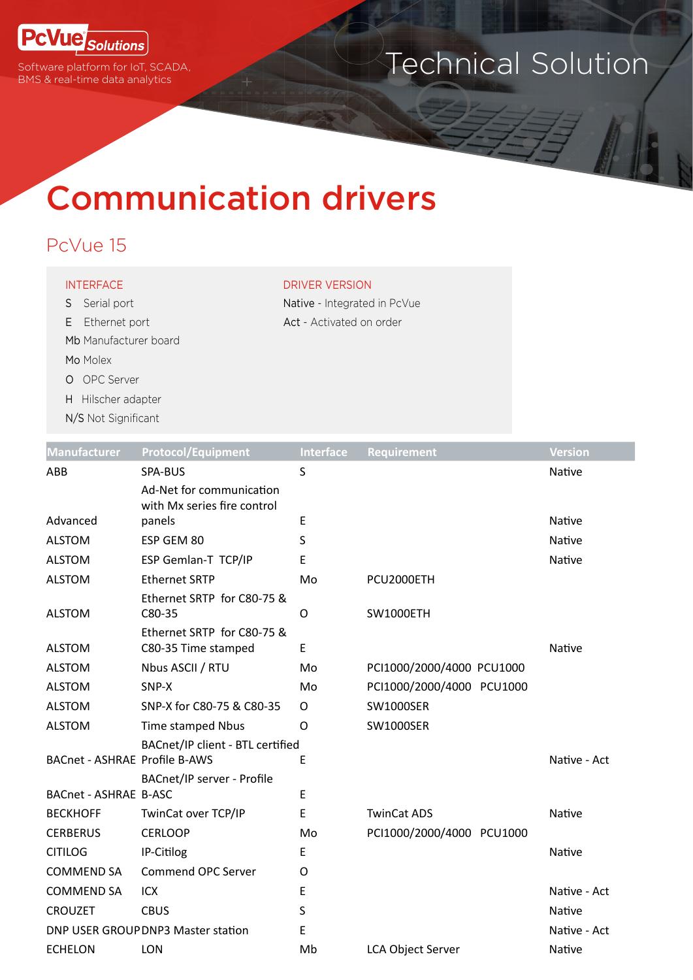

Software platform for IoT, SCADA, BMS & real-time data analytics

## Technical Solution

# Communication drivers

#### PcVue 15

#### INTERFACE DRIVER VERSION

S Serial port Native - Integrated in PcVue E Ethernet port **Act** - Activated on order Mb Manufacturer board

- Mo Molex O OPC Server
- H Hilscher adapter
- N/S Not Significant

| <b>Manufacturer</b>                  | <b>Protocol/Equipment</b>                               | <b>Interface</b> | Requirement               | <b>Version</b> |
|--------------------------------------|---------------------------------------------------------|------------------|---------------------------|----------------|
| ABB                                  | SPA-BUS                                                 | S                |                           | Native         |
|                                      | Ad-Net for communication<br>with Mx series fire control |                  |                           |                |
| Advanced                             | panels                                                  | Ε                |                           | Native         |
| <b>ALSTOM</b>                        | ESP GEM 80                                              | S                |                           | Native         |
| <b>ALSTOM</b>                        | ESP Gemlan-T TCP/IP                                     | Ε                |                           | Native         |
| <b>ALSTOM</b>                        | <b>Ethernet SRTP</b>                                    | Mo               | PCU2000ETH                |                |
| <b>ALSTOM</b>                        | Ethernet SRTP for C80-75 &<br>C80-35                    | O                | <b>SW1000ETH</b>          |                |
| <b>ALSTOM</b>                        | Ethernet SRTP for C80-75 &<br>C80-35 Time stamped       | E                |                           | Native         |
| <b>ALSTOM</b>                        | Nbus ASCII / RTU                                        | Mo               | PCI1000/2000/4000 PCU1000 |                |
| <b>ALSTOM</b>                        | SNP-X                                                   | Mo               | PCI1000/2000/4000 PCU1000 |                |
| <b>ALSTOM</b>                        | SNP-X for C80-75 & C80-35                               | O                | <b>SW1000SER</b>          |                |
| <b>ALSTOM</b>                        | Time stamped Nbus                                       | O                | <b>SW1000SER</b>          |                |
| <b>BACnet - ASHRAE Profile B-AWS</b> | BACnet/IP client - BTL certified                        | E                |                           | Native - Act   |
|                                      | BACnet/IP server - Profile                              |                  |                           |                |
| <b>BACnet - ASHRAE B-ASC</b>         |                                                         | E                |                           |                |
| <b>BECKHOFF</b>                      | TwinCat over TCP/IP                                     | Ε                | <b>TwinCat ADS</b>        | Native         |
| <b>CERBERUS</b>                      | <b>CERLOOP</b>                                          | Mo               | PCI1000/2000/4000 PCU1000 |                |
| <b>CITILOG</b>                       | IP-Citilog                                              | E                |                           | Native         |
| <b>COMMEND SA</b>                    | <b>Commend OPC Server</b>                               | O                |                           |                |
| <b>COMMEND SA</b>                    | ICX                                                     | Ε                |                           | Native - Act   |
| <b>CROUZET</b>                       | <b>CBUS</b>                                             | S                |                           | Native         |
|                                      | DNP USER GROUP DNP3 Master station                      | E                |                           | Native - Act   |
| <b>ECHELON</b>                       | <b>LON</b>                                              | Mb               | <b>LCA Object Server</b>  | Native         |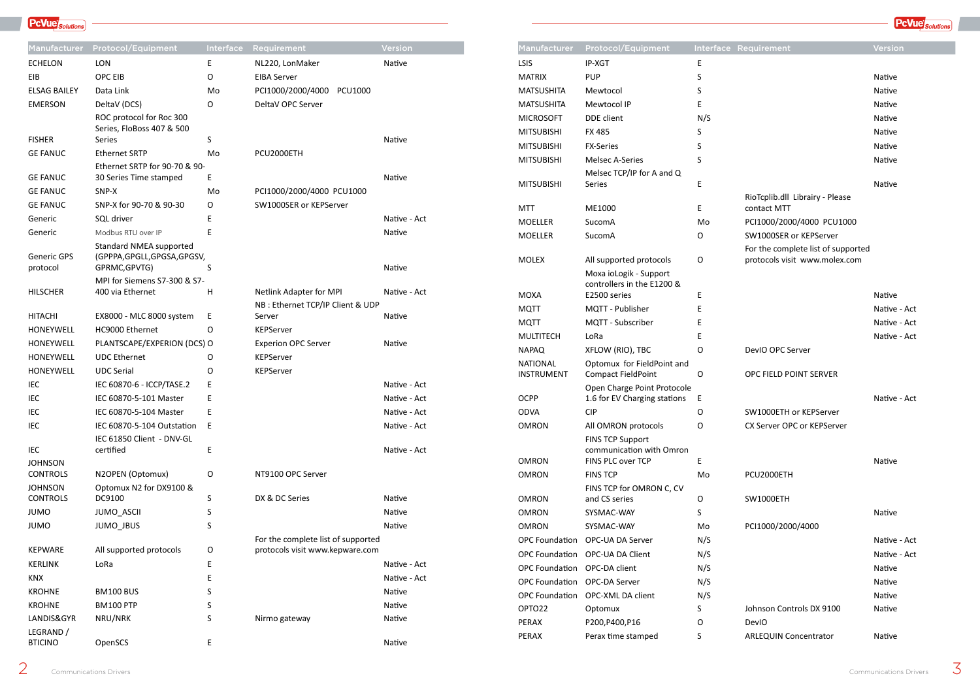### **PcVue** Solutions

| <b>Manufacturer</b>               | <b>Protocol/Equipment</b>                               | <b>Interface</b> | Requirement                        | <b>Version</b> | <b>Manufacturer</b>          | <b>Protocol/Equipment</b>                                            |             | Interface Requirement                                               | Version  |
|-----------------------------------|---------------------------------------------------------|------------------|------------------------------------|----------------|------------------------------|----------------------------------------------------------------------|-------------|---------------------------------------------------------------------|----------|
| <b>ECHELON</b>                    | LON                                                     | E                | NL220, LonMaker                    | Native         | <b>LSIS</b>                  | IP-XGT                                                               | E           |                                                                     |          |
| EIB                               | OPC EIB                                                 | O                | <b>EIBA Server</b>                 |                | <b>MATRIX</b>                | <b>PUP</b>                                                           | S.          |                                                                     | Native   |
| <b>ELSAG BAILEY</b>               | Data Link                                               | Mo               | PCI1000/2000/4000 PCU1000          |                | <b>MATSUSHITA</b>            | Mewtocol                                                             |             |                                                                     | Native   |
| <b>EMERSON</b>                    | DeltaV (DCS)                                            | $\circ$          | DeltaV OPC Server                  |                | <b>MATSUSHITA</b>            | Mewtocol IP                                                          |             |                                                                     | Native   |
|                                   | ROC protocol for Roc 300                                |                  |                                    |                | <b>MICROSOFT</b>             | DDE client                                                           | N/S         |                                                                     | Native   |
|                                   | Series, FloBoss 407 & 500                               |                  |                                    |                | <b>MITSUBISHI</b>            | <b>FX485</b>                                                         |             |                                                                     | Native   |
| <b>FISHER</b>                     | Series                                                  | S                |                                    | Native         | <b>MITSUBISHI</b>            | <b>FX-Series</b>                                                     |             |                                                                     | Native   |
| <b>GE FANUC</b>                   | <b>Ethernet SRTP</b>                                    | Mo               | PCU2000ETH                         |                | <b>MITSUBISHI</b>            | <b>Melsec A-Series</b>                                               |             |                                                                     | Native   |
| <b>GE FANUC</b>                   | Ethernet SRTP for 90-70 & 90-<br>30 Series Time stamped |                  |                                    | Native         |                              | Melsec TCP/IP for A and Q                                            |             |                                                                     |          |
| <b>GE FANUC</b>                   | SNP-X                                                   | Mo               | PCI1000/2000/4000 PCU1000          |                | <b>MITSUBISHI</b>            | Series                                                               | E           |                                                                     | Native   |
| <b>GE FANUC</b>                   | SNP-X for 90-70 & 90-30                                 | $\circ$          | SW1000SER or KEPServer             |                |                              |                                                                      |             | RioTcplib.dll Librairy - Please                                     |          |
| Generic                           | SQL driver                                              |                  |                                    | Native - Act   | <b>MTT</b>                   | ME1000                                                               | E.          | contact MTT                                                         |          |
| Generic                           | Modbus RTU over IP                                      | E                |                                    | Native         | <b>MOELLER</b>               | SucomA                                                               | Mo          | PCI1000/2000/4000 PCU1000                                           |          |
|                                   | <b>Standard NMEA supported</b>                          |                  |                                    |                | <b>MOELLER</b>               | SucomA                                                               | O           | SW1000SER or KEPServer                                              |          |
| <b>Generic GPS</b><br>protocol    | (GPPPA, GPGLL, GPGSA, GPGSV,<br>GPRMC, GPVTG)           |                  |                                    | Native         | <b>MOLEX</b>                 | All supported protocols                                              | $\mathsf O$ | For the complete list of supported<br>protocols visit www.molex.com |          |
| <b>HILSCHER</b>                   | MPI for Siemens S7-300 & S7-<br>400 via Ethernet        | H                | Netlink Adapter for MPI            | Native - Act   | <b>MOXA</b>                  | Moxa ioLogik - Support<br>controllers in the E1200 &<br>E2500 series | E.          |                                                                     | Native   |
|                                   |                                                         |                  | NB : Ethernet TCP/IP Client & UDP  |                | <b>MQTT</b>                  | MQTT - Publisher                                                     |             |                                                                     | Native - |
| <b>HITACHI</b>                    | EX8000 - MLC 8000 system                                | E                | Server                             | Native         | <b>MQTT</b>                  | MQTT - Subscriber                                                    |             |                                                                     | Native · |
| HONEYWELL                         | HC9000 Ethernet                                         | O                | KEPServer                          |                | <b>MULTITECH</b>             | LoRa                                                                 |             |                                                                     | Native - |
| HONEYWELL                         | PLANTSCAPE/EXPERION (DCS) O                             |                  | <b>Experion OPC Server</b>         | Native         | <b>NAPAQ</b>                 | XFLOW (RIO), TBC                                                     | 0           | DevIO OPC Server                                                    |          |
| HONEYWELL                         | <b>UDC</b> Ethernet                                     | O                | KEPServer                          |                | <b>NATIONAL</b>              | Optomux for FieldPoint and                                           |             |                                                                     |          |
| HONEYWELL                         | <b>UDC Serial</b>                                       | $\circ$          | <b>KEPServer</b>                   |                | <b>INSTRUMENT</b>            | <b>Compact FieldPoint</b>                                            | $\circ$     | OPC FIELD POINT SERVER                                              |          |
| IEC                               | IEC 60870-6 - ICCP/TASE.2                               | E                |                                    | Native - Act   |                              | Open Charge Point Protocole                                          |             |                                                                     |          |
| IEC                               | IEC 60870-5-101 Master                                  |                  |                                    | Native - Act   | <b>OCPP</b>                  | 1.6 for EV Charging stations                                         | -E          |                                                                     | Native - |
| IEC                               | IEC 60870-5-104 Master                                  | E                |                                    | Native - Act   | <b>ODVA</b>                  | <b>CIP</b>                                                           | $\circ$     | SW1000ETH or KEPServer                                              |          |
| IEC                               | IEC 60870-5-104 Outstation E                            |                  |                                    | Native - Act   | <b>OMRON</b>                 | All OMRON protocols                                                  | O           | CX Server OPC or KEPServer                                          |          |
|                                   | IEC 61850 Client - DNV-GL                               |                  |                                    |                |                              | <b>FINS TCP Support</b>                                              |             |                                                                     |          |
| IEC                               | certified                                               | Ε                |                                    | Native - Act   | <b>OMRON</b>                 | communication with Omron<br>FINS PLC over TCP                        |             |                                                                     | Native   |
| <b>JOHNSON</b><br><b>CONTROLS</b> | N2OPEN (Optomux)                                        | $\mathsf O$      | NT9100 OPC Server                  |                | <b>OMRON</b>                 | <b>FINS TCP</b>                                                      | E.<br>Mo    | PCU2000ETH                                                          |          |
| <b>JOHNSON</b>                    | Optomux N2 for DX9100 &                                 |                  |                                    |                |                              | FINS TCP for OMRON C, CV                                             |             |                                                                     |          |
| <b>CONTROLS</b>                   | DC9100                                                  | <sub>S</sub>     | DX & DC Series                     | Native         | <b>OMRON</b>                 | and CS series                                                        | O           | SW1000ETH                                                           |          |
| <b>JUMO</b>                       | JUMO_ASCII                                              |                  |                                    | Native         | <b>OMRON</b>                 | SYSMAC-WAY                                                           |             |                                                                     | Native   |
| <b>JUMO</b>                       | JUMO_JBUS                                               | S                |                                    | Native         | <b>OMRON</b>                 | SYSMAC-WAY                                                           | Mo          | PCI1000/2000/4000                                                   |          |
|                                   |                                                         |                  | For the complete list of supported |                | <b>OPC Foundation</b>        | OPC-UA DA Server                                                     | N/S         |                                                                     | Native - |
| <b>KEPWARE</b>                    | All supported protocols                                 | $\circ$          | protocols visit www.kepware.com    |                |                              | OPC Foundation OPC-UA DA Client                                      | N/S         |                                                                     | Native   |
| <b>KERLINK</b>                    | LoRa                                                    | F                |                                    | Native - Act   | OPC Foundation OPC-DA client |                                                                      | N/S         |                                                                     | Native   |
| <b>KNX</b>                        |                                                         |                  |                                    | Native - Act   | OPC Foundation OPC-DA Server |                                                                      | N/S         |                                                                     | Native   |
| <b>KROHNE</b>                     | <b>BM100 BUS</b>                                        |                  |                                    | Native         |                              | OPC Foundation OPC-XML DA client                                     | N/S         |                                                                     | Native   |
| <b>KROHNE</b>                     | <b>BM100 PTP</b>                                        |                  |                                    | Native         | OPTO22                       | Optomux                                                              |             | Johnson Controls DX 9100                                            | Native   |
| LANDIS&GYR                        | NRU/NRK                                                 | S                | Nirmo gateway                      | Native         | PERAX                        | P200, P400, P16                                                      | O           | DevIO                                                               |          |
| LEGRAND /                         |                                                         |                  |                                    |                | PERAX                        | Perax time stamped                                                   | S.          | <b>ARLEQUIN Concentrator</b>                                        | Native   |
| <b>BTICINO</b>                    | OpenSCS                                                 | E                |                                    | Native         |                              |                                                                      |             |                                                                     |          |

| <b>Manufacturer</b>                  | <b>Protocol/Equipment</b>                               |        | Interface Requirement                                               | Version       |
|--------------------------------------|---------------------------------------------------------|--------|---------------------------------------------------------------------|---------------|
| <b>LSIS</b>                          | IP-XGT                                                  | E      |                                                                     |               |
| <b>MATRIX</b>                        | <b>PUP</b>                                              | S      |                                                                     | Native        |
| <b>MATSUSHITA</b>                    | Mewtocol                                                | S      |                                                                     | Native        |
| <b>MATSUSHITA</b>                    | Mewtocol IP                                             | E      |                                                                     | Native        |
| <b>MICROSOFT</b>                     | <b>DDE</b> client                                       | N/S    |                                                                     | Native        |
| <b>MITSUBISHI</b>                    | <b>FX 485</b>                                           | S      |                                                                     | <b>Native</b> |
| <b>MITSUBISHI</b>                    | <b>FX-Series</b>                                        | S      |                                                                     | Native        |
| <b>MITSUBISHI</b>                    | <b>Melsec A-Series</b>                                  | S      |                                                                     | Native        |
| <b>MITSUBISHI</b>                    | Melsec TCP/IP for A and Q<br><b>Series</b>              | E      |                                                                     | Native        |
|                                      |                                                         |        | RioTcplib.dll Librairy - Please                                     |               |
| <b>MTT</b>                           | ME1000                                                  | E      | contact MTT                                                         |               |
| <b>MOELLER</b>                       | SucomA                                                  | Mo     | PCI1000/2000/4000 PCU1000                                           |               |
| <b>MOELLER</b>                       | SucomA                                                  | O      | SW1000SER or KEPServer                                              |               |
| <b>MOLEX</b>                         | All supported protocols                                 | O      | For the complete list of supported<br>protocols visit www.molex.com |               |
|                                      | Moxa ioLogik - Support<br>controllers in the E1200 &    |        |                                                                     |               |
| <b>MOXA</b>                          | E2500 series                                            | E      |                                                                     | Native        |
| <b>MQTT</b>                          | MQTT - Publisher                                        | E      |                                                                     | Native - Act  |
| <b>MQTT</b>                          | MQTT - Subscriber                                       | E      |                                                                     | Native - Act  |
| <b>MULTITECH</b>                     | LoRa                                                    | E      |                                                                     | Native - Act  |
| <b>NAPAQ</b>                         | XFLOW (RIO), TBC                                        | O      | DevIO OPC Server                                                    |               |
| <b>NATIONAL</b><br><b>INSTRUMENT</b> | Optomux for FieldPoint and<br><b>Compact FieldPoint</b> | O      | OPC FIELD POINT SERVER                                              |               |
|                                      | Open Charge Point Protocole                             |        |                                                                     |               |
| <b>OCPP</b>                          | 1.6 for EV Charging stations                            | E      |                                                                     | Native - Act  |
| <b>ODVA</b>                          | <b>CIP</b>                                              | O      | SW1000ETH or KEPServer                                              |               |
| <b>OMRON</b>                         | All OMRON protocols                                     | O      | CX Server OPC or KEPServer                                          |               |
|                                      | <b>FINS TCP Support</b><br>communication with Omron     |        |                                                                     |               |
| <b>OMRON</b>                         | FINS PLC over TCP                                       | E      |                                                                     | Native        |
| <b>OMRON</b>                         | <b>FINS TCP</b>                                         | Mo     | PCU2000ETH                                                          |               |
| <b>OMRON</b>                         | FINS TCP for OMRON C, CV<br>and CS series               |        | SW1000ETH                                                           |               |
| <b>OMRON</b>                         | SYSMAC-WAY                                              | O<br>S |                                                                     | Native        |
| <b>OMRON</b>                         | SYSMAC-WAY                                              | Mo     | PCI1000/2000/4000                                                   |               |
| <b>OPC Foundation</b>                | OPC-UA DA Server                                        | N/S    |                                                                     | Native - Act  |
| <b>OPC Foundation</b>                | OPC-UA DA Client                                        | N/S    |                                                                     | Native - Act  |
| <b>OPC Foundation</b>                | OPC-DA client                                           | N/S    |                                                                     | Native        |
| <b>OPC Foundation</b>                | OPC-DA Server                                           | N/S    |                                                                     | Native        |
| <b>OPC Foundation</b>                | OPC-XML DA client                                       | N/S    |                                                                     | Native        |
| OPTO22                               | Optomux                                                 | S      | Johnson Controls DX 9100                                            | Native        |
| PERAX                                | P200, P400, P16                                         | O      | DevIO                                                               |               |
| PERAX                                | Perax time stamped                                      | S      | <b>ARLEQUIN Concentrator</b>                                        | Native        |
|                                      |                                                         |        |                                                                     |               |

**PcVue** Solutions

| IP-XGT                                                                   | E       |                                                                     |               |
|--------------------------------------------------------------------------|---------|---------------------------------------------------------------------|---------------|
| <b>PUP</b>                                                               | S       |                                                                     | Native        |
| Mewtocol                                                                 | S       |                                                                     | Native        |
| Mewtocol IP                                                              | Ε       |                                                                     | <b>Native</b> |
| <b>DDE</b> client                                                        | N/S     |                                                                     | Native        |
| FX 485                                                                   | S       |                                                                     | Native        |
| <b>FX-Series</b>                                                         | S       |                                                                     | Native        |
| <b>Melsec A-Series</b>                                                   | S       |                                                                     | Native        |
| Melsec TCP/IP for A and Q                                                |         |                                                                     |               |
| Series                                                                   | E       |                                                                     | Native        |
|                                                                          |         | RioTcplib.dll Librairy - Please                                     |               |
| ME1000<br>SucomA                                                         | Ε<br>Mo | contact MTT<br>PCI1000/2000/4000 PCU1000                            |               |
|                                                                          |         | SW1000SER or KEPServer                                              |               |
| SucomA                                                                   | O       |                                                                     |               |
| All supported protocols                                                  | O       | For the complete list of supported<br>protocols visit www.molex.com |               |
| Moxa ioLogik - Support<br>controllers in the E1200 &<br>E2500 series     | Ε       |                                                                     | Native        |
| MQTT - Publisher                                                         | Ε       |                                                                     | Native - Act  |
| MQTT - Subscriber                                                        | E       |                                                                     | Native - Act  |
| LoRa                                                                     | E       |                                                                     | Native - Act  |
| XFLOW (RIO), TBC                                                         | O       | DevIO OPC Server                                                    |               |
| Optomux for FieldPoint and<br>Compact FieldPoint                         | 0       | OPC FIELD POINT SERVER                                              |               |
| Open Charge Point Protocole<br>1.6 for EV Charging stations              | Ε       |                                                                     | Native - Act  |
| CIP                                                                      | O       | SW1000ETH or KEPServer                                              |               |
| All OMRON protocols                                                      | O       | CX Server OPC or KEPServer                                          |               |
| <b>FINS TCP Support</b><br>communication with Omron<br>FINS PLC over TCP | E       |                                                                     | Native        |
| <b>FINS TCP</b>                                                          | Mo      | PCU2000ETH                                                          |               |
| FINS TCP for OMRON C, CV<br>and CS series                                | O       | SW1000ETH                                                           |               |
| SYSMAC-WAY                                                               | S       |                                                                     | Native        |
| SYSMAC-WAY                                                               | Mo      | PCI1000/2000/4000                                                   |               |
| OPC-UA DA Server                                                         | N/S     |                                                                     | Native - Act  |
| OPC-UA DA Client                                                         | N/S     |                                                                     | Native - Act  |
| OPC-DA client                                                            | N/S     |                                                                     | <b>Native</b> |
| <b>OPC-DA Server</b>                                                     | N/S     |                                                                     | Native        |
| OPC-XML DA client                                                        | N/S     |                                                                     | Native        |
| Optomux                                                                  | S       | Johnson Controls DX 9100                                            | Native        |
| P200, P400, P16                                                          | O       | DevIO                                                               |               |
| Perax time stamped                                                       | S       | <b>ARLEQUIN Concentrator</b>                                        | Native        |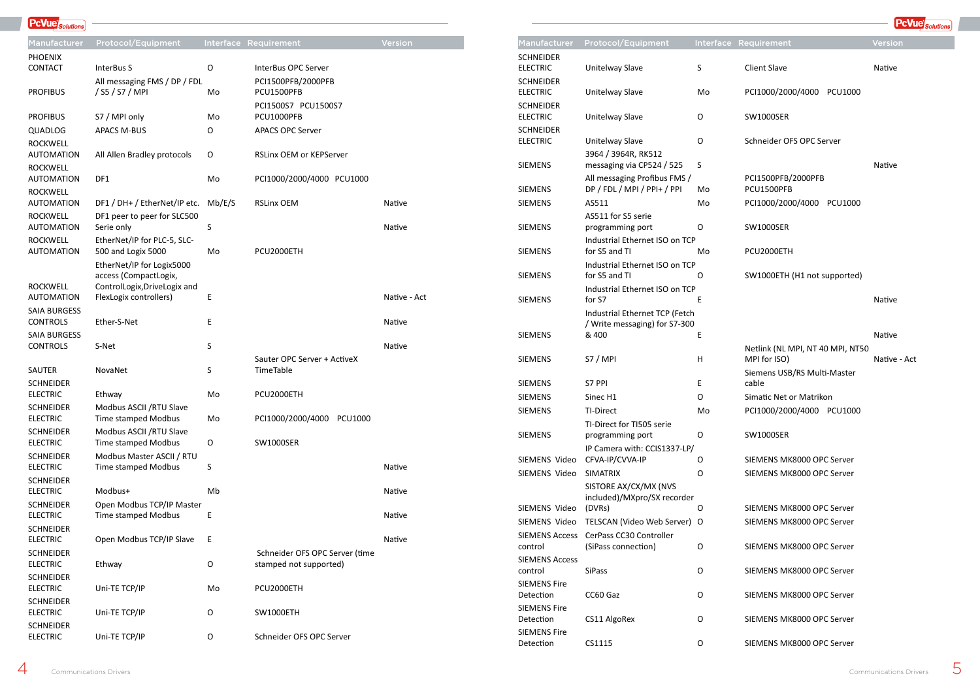Netlink (NL MPI, NT 40 MPI, NT50 MPI for ISO) Native - Act Siemens USB/RS Multi-Master cable Simatic Net or Matrikon PCI1000/2000/4000 PCU1000

| <b>Manufacturer</b>                 | <b>Protocol/Equipment</b>                                       |    | Interface Requirement                            | Versic |
|-------------------------------------|-----------------------------------------------------------------|----|--------------------------------------------------|--------|
| <b>SCHNEIDER</b><br><b>ELECTRIC</b> | Unitelway Slave                                                 | S  | <b>Client Slave</b>                              | Native |
| <b>SCHNEIDER</b><br><b>ELECTRIC</b> | Unitelway Slave                                                 | Mo | PCI1000/2000/4000<br><b>PCU1000</b>              |        |
| <b>SCHNEIDER</b><br><b>ELECTRIC</b> | Unitelway Slave                                                 | O  | <b>SW1000SER</b>                                 |        |
| <b>SCHNEIDER</b><br><b>ELECTRIC</b> | Unitelway Slave                                                 | O  | Schneider OFS OPC Server                         |        |
| <b>SIEMENS</b>                      | 3964 / 3964R, RK512<br>messaging via CP524 / 525                | S  |                                                  | Native |
| <b>SIEMENS</b>                      | All messaging Profibus FMS /<br>DP / FDL / MPI / PPI+ / PPI     | Mo | PCI1500PFB/2000PFB<br>PCU1500PFB                 |        |
| <b>SIEMENS</b>                      | AS511                                                           | Mo | PCI1000/2000/4000<br>PCU1000                     |        |
| <b>SIEMENS</b>                      | AS511 for S5 serie<br>programming port                          | O  | <b>SW1000SER</b>                                 |        |
| <b>SIEMENS</b>                      | Industrial Ethernet ISO on TCP<br>for S5 and TI                 | Mo | PCU2000ETH                                       |        |
| <b>SIEMENS</b>                      | Industrial Ethernet ISO on TCP<br>for S5 and TI                 | O  | SW1000ETH (H1 not supported)                     |        |
| <b>SIEMENS</b>                      | Industrial Ethernet ISO on TCP<br>for S7                        | E  |                                                  | Native |
|                                     | Industrial Ethernet TCP (Fetch<br>/ Write messaging) for S7-300 |    |                                                  |        |
| <b>SIEMENS</b>                      | & 400                                                           | E  |                                                  | Native |
| <b>SIEMENS</b>                      | S7 / MPI                                                        | H  | Netlink (NL MPI, NT 40 MPI, NT50<br>MPI for ISO) | Native |
| <b>SIEMENS</b>                      | S7 PPI                                                          | E  | Siemens USB/RS Multi-Master<br>cable             |        |
| <b>SIEMENS</b>                      | Sinec H1                                                        | O  | Simatic Net or Matrikon                          |        |
| <b>SIEMENS</b>                      | <b>TI-Direct</b>                                                | Mo | PCI1000/2000/4000 PCU1000                        |        |
| <b>SIEMENS</b>                      | TI-Direct for TI505 serie<br>programming port                   | O  | <b>SW1000SER</b>                                 |        |
|                                     | IP Camera with: CCIS1337-LP/                                    |    |                                                  |        |
| SIEMENS Video                       | CFVA-IP/CVVA-IP                                                 | 0  | SIEMENS MK8000 OPC Server                        |        |
| SIEMENS Video                       | <b>SIMATRIX</b>                                                 | O  | SIEMENS MK8000 OPC Server                        |        |
|                                     | SISTORE AX/CX/MX (NVS                                           |    |                                                  |        |
| SIEMENS Video                       | included)/MXpro/SX recorder<br>(DVRs)                           | O  | SIEMENS MK8000 OPC Server                        |        |
| SIEMENS Video                       | TELSCAN (Video Web Server) O                                    |    | SIEMENS MK8000 OPC Server                        |        |
| <b>SIEMENS Access</b>               | CerPass CC30 Controller                                         |    |                                                  |        |
| control                             | (SiPass connection)                                             | O  | SIEMENS MK8000 OPC Server                        |        |
| <b>SIEMENS Access</b><br>control    | <b>SiPass</b>                                                   | O  | SIEMENS MK8000 OPC Server                        |        |
| <b>SIEMENS Fire</b><br>Detection    | CC60 Gaz                                                        | O  | SIEMENS MK8000 OPC Server                        |        |
| <b>SIEMENS Fire</b><br>Detection    | CS11 AlgoRex                                                    | O  | SIEMENS MK8000 OPC Server                        |        |
| <b>SIEMENS Fire</b><br>Detection    | CS1115                                                          | O  | SIEMENS MK8000 OPC Server                        |        |

Native - Act

| <b>PcVue</b> Solutions |                                                    |                  |                                     |               |
|------------------------|----------------------------------------------------|------------------|-------------------------------------|---------------|
| <b>Manufacturer</b>    | <b>Protocol/Equipment</b>                          | <b>Interface</b> | Requirement                         | Version       |
| <b>PHOENIX</b>         |                                                    |                  |                                     |               |
| <b>CONTACT</b>         | InterBus S                                         | 0                | InterBus OPC Server                 |               |
| <b>PROFIBUS</b>        | All messaging FMS / DP / FDL<br>/ S5 / S7 / MPI    | Mo               | PCI1500PFB/2000PFB<br>PCU1500PFB    |               |
|                        |                                                    |                  | PCI1500S7 PCU1500S7                 |               |
| <b>PROFIBUS</b>        | S7 / MPI only                                      | Mo               | PCU1000PFB                          |               |
| QUADLOG                | <b>APACS M-BUS</b>                                 | O                | <b>APACS OPC Server</b>             |               |
| <b>ROCKWELL</b>        |                                                    |                  |                                     |               |
| <b>AUTOMATION</b>      | All Allen Bradley protocols                        | O                | <b>RSLinx OEM or KEPServer</b>      |               |
| <b>ROCKWELL</b>        |                                                    |                  |                                     |               |
| <b>AUTOMATION</b>      | DF1                                                | Mo               | PCI1000/2000/4000 PCU1000           |               |
| <b>ROCKWELL</b>        |                                                    |                  |                                     |               |
| <b>AUTOMATION</b>      | DF1 / DH+ / EtherNet/IP etc.                       | Mb/E/S           | <b>RSLinx OEM</b>                   | <b>Native</b> |
| <b>ROCKWELL</b>        | DF1 peer to peer for SLC500                        |                  |                                     |               |
| <b>AUTOMATION</b>      | Serie only                                         | S                |                                     | Native        |
| <b>ROCKWELL</b>        | EtherNet/IP for PLC-5, SLC-                        |                  |                                     |               |
| <b>AUTOMATION</b>      | 500 and Logix 5000                                 | Mo               | PCU2000ETH                          |               |
|                        | EtherNet/IP for Logix5000<br>access (CompactLogix, |                  |                                     |               |
| <b>ROCKWELL</b>        | ControlLogix, DriveLogix and                       |                  |                                     |               |
| <b>AUTOMATION</b>      | FlexLogix controllers)                             | Ε                |                                     | Native -      |
| <b>SAIA BURGESS</b>    |                                                    |                  |                                     |               |
| <b>CONTROLS</b>        | Ether-S-Net                                        | E                |                                     | <b>Native</b> |
| <b>SAIA BURGESS</b>    |                                                    |                  |                                     |               |
| <b>CONTROLS</b>        | S-Net                                              | $\sf S$          |                                     | <b>Native</b> |
|                        |                                                    |                  | Sauter OPC Server + ActiveX         |               |
| SAUTER                 | NovaNet                                            | $\sf S$          | TimeTable                           |               |
| <b>SCHNEIDER</b>       |                                                    |                  |                                     |               |
| <b>ELECTRIC</b>        | Ethway                                             | Mo               | PCU2000ETH                          |               |
| <b>SCHNEIDER</b>       | Modbus ASCII / RTU Slave                           |                  |                                     |               |
| <b>ELECTRIC</b>        | <b>Time stamped Modbus</b>                         | Mo               | PCI1000/2000/4000<br><b>PCU1000</b> |               |
| <b>SCHNEIDER</b>       | Modbus ASCII / RTU Slave                           |                  |                                     |               |

ELECTRIC

**PcVue** 

Time stamped Modbus O SW1000SER

ELECTRIC Uni-TE TCP/IP 0 Schneider OFS OPC Server

| <b>SCHNEIDER</b><br><b>ELECTRIC</b> | Modbus Master ASCII / RTU<br><b>Time stamped Modbus</b> | S  |                                                          | Native |
|-------------------------------------|---------------------------------------------------------|----|----------------------------------------------------------|--------|
| <b>SCHNEIDER</b><br><b>ELECTRIC</b> | Modbus+                                                 | Mb |                                                          | Native |
| <b>SCHNEIDER</b><br><b>ELECTRIC</b> | Open Modbus TCP/IP Master<br><b>Time stamped Modbus</b> | E  |                                                          | Native |
| <b>SCHNEIDER</b><br><b>ELECTRIC</b> | Open Modbus TCP/IP Slave                                | E  |                                                          | Native |
| <b>SCHNEIDER</b><br><b>ELECTRIC</b> | Ethway                                                  | O  | Schneider OFS OPC Server (time<br>stamped not supported) |        |
| <b>SCHNEIDER</b><br><b>ELECTRIC</b> | Uni-TE TCP/IP                                           | Mo | PCU2000ETH                                               |        |
| <b>SCHNEIDER</b><br><b>ELECTRIC</b> | Uni-TE TCP/IP                                           | O  | SW1000ETH                                                |        |
| <b>SCHNEIDER</b>                    |                                                         |    |                                                          |        |